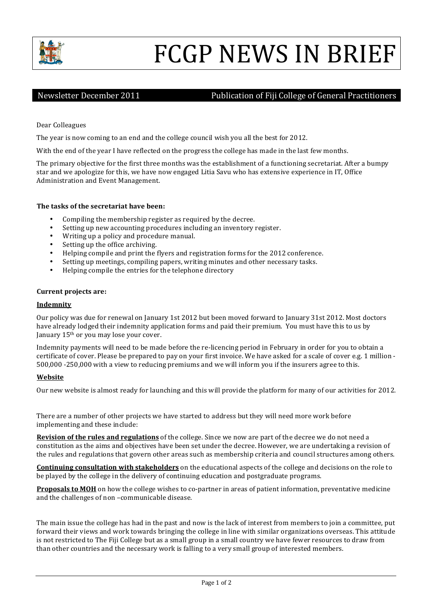

# FCGP NEWS IN BRIEF

## Newsletter December 2011 Mewsletter December 2011 Mewsletter December 2011

Dear Colleagues

The year is now coming to an end and the college council wish you all the best for 2012.

With the end of the year I have reflected on the progress the college has made in the last few months.

The primary objective for the first three months was the establishment of a functioning secretariat. After a bumpy star and we apologize for this, we have now engaged Litia Savu who has extensive experience in IT, Office Administration and Event Management.

### **The tasks of the secretariat have been:**

- Compiling the membership register as required by the decree.
- Setting up new accounting procedures including an inventory register.
- Writing up a policy and procedure manual.
- Setting up the office archiving.
- Helping compile and print the flyers and registration forms for the 2012 conference.
- Setting up meetings, compiling papers, writing minutes and other necessary tasks.
- Helping compile the entries for the telephone directory

#### **Current projects are:**

#### **Indemnity**

Our policy was due for renewal on January 1st 2012 but been moved forward to January 31st 2012. Most doctors have already lodged their indemnity application forms and paid their premium. You must have this to us by January 15<sup>th</sup> or you may lose your cover.

Indemnity payments will need to be made before the re-licencing period in February in order for you to obtain a certificate of cover. Please be prepared to pay on your first invoice. We have asked for a scale of cover e.g. 1 million -500,000 -250,000 with a view to reducing premiums and we will inform you if the insurers agree to this.

### **Website**

Our new website is almost ready for launching and this will provide the platform for many of our activities for 2012.

There are a number of other projects we have started to address but they will need more work before implementing and these include:

**Revision of the rules and regulations** of the college. Since we now are part of the decree we do not need a constitution as the aims and objectives have been set under the decree. However, we are undertaking a revision of the rules and regulations that govern other areas such as membership criteria and council structures among others.

**Continuing consultation with stakeholders** on the educational aspects of the college and decisions on the role to be played by the college in the delivery of continuing education and postgraduate programs.

**Proposals to MOH** on how the college wishes to co-partner in areas of patient information, preventative medicine and the challenges of non-communicable disease.

The main issue the college has had in the past and now is the lack of interest from members to join a committee, put forward their views and work towards bringing the college in line with similar organizations overseas. This attitude is not restricted to The Fiji College but as a small group in a small country we have fewer resources to draw from than other countries and the necessary work is falling to a very small group of interested members.